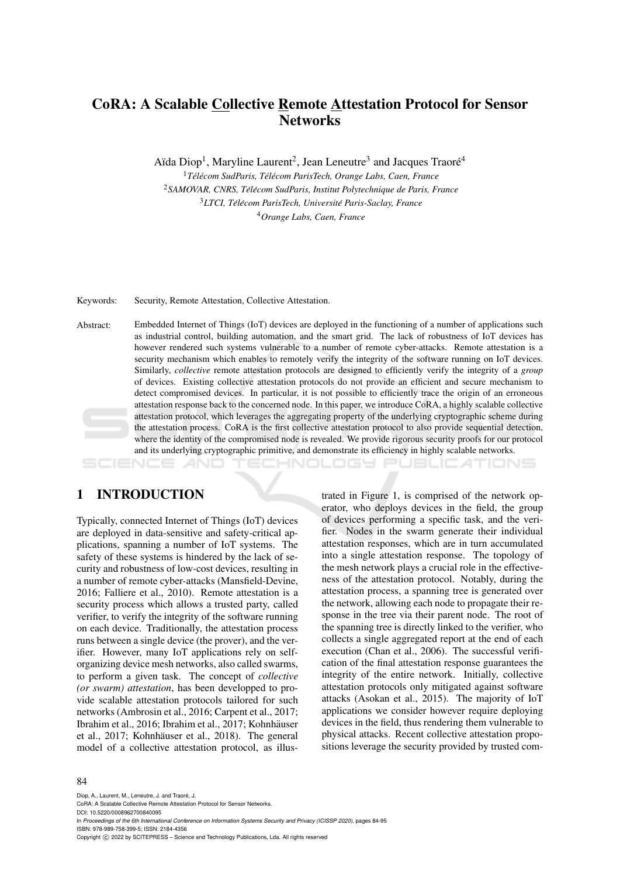# CoRA: A Scalable Collective Remote Attestation Protocol for Sensor **Networks**

Aïda Diop<sup>1</sup>, Maryline Laurent<sup>2</sup>, Jean Leneutre<sup>3</sup> and Jacques Traoré<sup>4</sup>

*Tel´ ecom SudParis, T ´ el´ ecom ParisTech, Orange Labs, Caen, France ´* <sup>2</sup> SAMOVAR, CNRS, Télécom SudParis, Institut Polytechnique de Paris, France *LTCI, Tel´ ecom ParisTech, Universit ´ e Paris-Saclay, France ´ Orange Labs, Caen, France*

Keywords: Security, Remote Attestation, Collective Attestation.

Abstract: Embedded Internet of Things (IoT) devices are deployed in the functioning of a number of applications such as industrial control, building automation, and the smart grid. The lack of robustness of IoT devices has however rendered such systems vulnerable to a number of remote cyber-attacks. Remote attestation is a security mechanism which enables to remotely verify the integrity of the software running on IoT devices. Similarly, *collective* remote attestation protocols are designed to efficiently verify the integrity of a *group* of devices. Existing collective attestation protocols do not provide an efficient and secure mechanism to detect compromised devices. In particular, it is not possible to efficiently trace the origin of an erroneous attestation response back to the concerned node. In this paper, we introduce CoRA, a highly scalable collective attestation protocol, which leverages the aggregating property of the underlying cryptographic scheme during the attestation process. CoRA is the first collective attestation protocol to also provide sequential detection, where the identity of the compromised node is revealed. We provide rigorous security proofs for our protocol and its underlying cryptographic primitive, and demonstrate its efficiency in highly scalable networks.

## 1 INTRODUCTION

Typically, connected Internet of Things (IoT) devices are deployed in data-sensitive and safety-critical applications, spanning a number of IoT systems. The safety of these systems is hindered by the lack of security and robustness of low-cost devices, resulting in a number of remote cyber-attacks (Mansfield-Devine, 2016; Falliere et al., 2010). Remote attestation is a security process which allows a trusted party, called verifier, to verify the integrity of the software running on each device. Traditionally, the attestation process runs between a single device (the prover), and the verifier. However, many IoT applications rely on selforganizing device mesh networks, also called swarms, to perform a given task. The concept of *collective (or swarm) attestation*, has been developped to provide scalable attestation protocols tailored for such networks (Ambrosin et al., 2016; Carpent et al., 2017; Ibrahim et al., 2016; Ibrahim et al., 2017; Kohnhäuser et al., 2017; Kohnhäuser et al., 2018). The general model of a collective attestation protocol, as illustrated in Figure 1, is comprised of the network operator, who deploys devices in the field, the group of devices performing a specific task, and the verifier. Nodes in the swarm generate their individual attestation responses, which are in turn accumulated into a single attestation response. The topology of the mesh network plays a crucial role in the effectiveness of the attestation protocol. Notably, during the attestation process, a spanning tree is generated over the network, allowing each node to propagate their response in the tree via their parent node. The root of the spanning tree is directly linked to the verifier, who collects a single aggregated report at the end of each execution (Chan et al., 2006). The successful verification of the final attestation response guarantees the integrity of the entire network. Initially, collective attestation protocols only mitigated against software attacks (Asokan et al., 2015). The majority of IoT applications we consider however require deploying devices in the field, thus rendering them vulnerable to physical attacks. Recent collective attestation propositions leverage the security provided by trusted com-

HNOLOGY PUBLICATIONS

#### 84

Diop, A., Laurent, M., Leneutre, J. and Traoré, J. CoRA: A Scalable Collective Remote Attestation Protocol for Sensor Networks. DOI: 10.5220/0008962700840095 In *Proceedings of the 6th International Conference on Information Systems Security and Privacy (ICISSP 2020)*, pages 84-95 ISBN: 978-989-758-399-5; ISSN: 2184-4356 Copyright (C) 2022 by SCITEPRESS - Science and Technology Publications, Lda. All rights reserved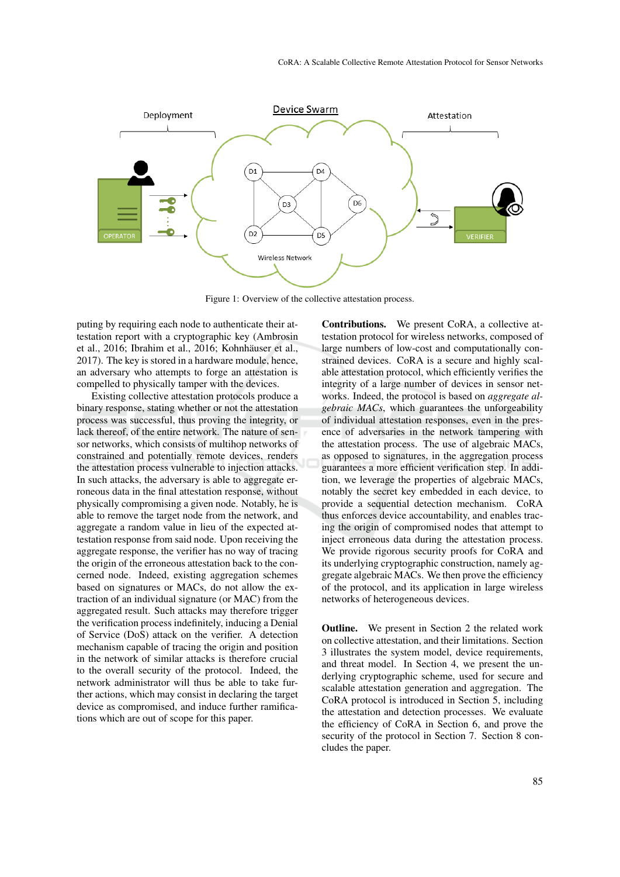

Figure 1: Overview of the collective attestation process.

puting by requiring each node to authenticate their attestation report with a cryptographic key (Ambrosin et al., 2016; Ibrahim et al., 2016; Kohnhäuser et al., 2017). The key is stored in a hardware module, hence, an adversary who attempts to forge an attestation is compelled to physically tamper with the devices.

Existing collective attestation protocols produce a binary response, stating whether or not the attestation process was successful, thus proving the integrity, or lack thereof, of the entire network. The nature of sensor networks, which consists of multihop networks of constrained and potentially remote devices, renders the attestation process vulnerable to injection attacks. In such attacks, the adversary is able to aggregate erroneous data in the final attestation response, without physically compromising a given node. Notably, he is able to remove the target node from the network, and aggregate a random value in lieu of the expected attestation response from said node. Upon receiving the aggregate response, the verifier has no way of tracing the origin of the erroneous attestation back to the concerned node. Indeed, existing aggregation schemes based on signatures or MACs, do not allow the extraction of an individual signature (or MAC) from the aggregated result. Such attacks may therefore trigger the verification process indefinitely, inducing a Denial of Service (DoS) attack on the verifier. A detection mechanism capable of tracing the origin and position in the network of similar attacks is therefore crucial to the overall security of the protocol. Indeed, the network administrator will thus be able to take further actions, which may consist in declaring the target device as compromised, and induce further ramifications which are out of scope for this paper.

Contributions. We present CoRA, a collective attestation protocol for wireless networks, composed of large numbers of low-cost and computationally constrained devices. CoRA is a secure and highly scalable attestation protocol, which efficiently verifies the integrity of a large number of devices in sensor networks. Indeed, the protocol is based on *aggregate algebraic MACs*, which guarantees the unforgeability of individual attestation responses, even in the presence of adversaries in the network tampering with the attestation process. The use of algebraic MACs, as opposed to signatures, in the aggregation process guarantees a more efficient verification step. In addition, we leverage the properties of algebraic MACs, notably the secret key embedded in each device, to provide a sequential detection mechanism. CoRA thus enforces device accountability, and enables tracing the origin of compromised nodes that attempt to inject erroneous data during the attestation process. We provide rigorous security proofs for CoRA and its underlying cryptographic construction, namely aggregate algebraic MACs. We then prove the efficiency of the protocol, and its application in large wireless networks of heterogeneous devices.

**Outline.** We present in Section 2 the related work on collective attestation, and their limitations. Section 3 illustrates the system model, device requirements, and threat model. In Section 4, we present the underlying cryptographic scheme, used for secure and scalable attestation generation and aggregation. The CoRA protocol is introduced in Section 5, including the attestation and detection processes. We evaluate the efficiency of CoRA in Section 6, and prove the security of the protocol in Section 7. Section 8 concludes the paper.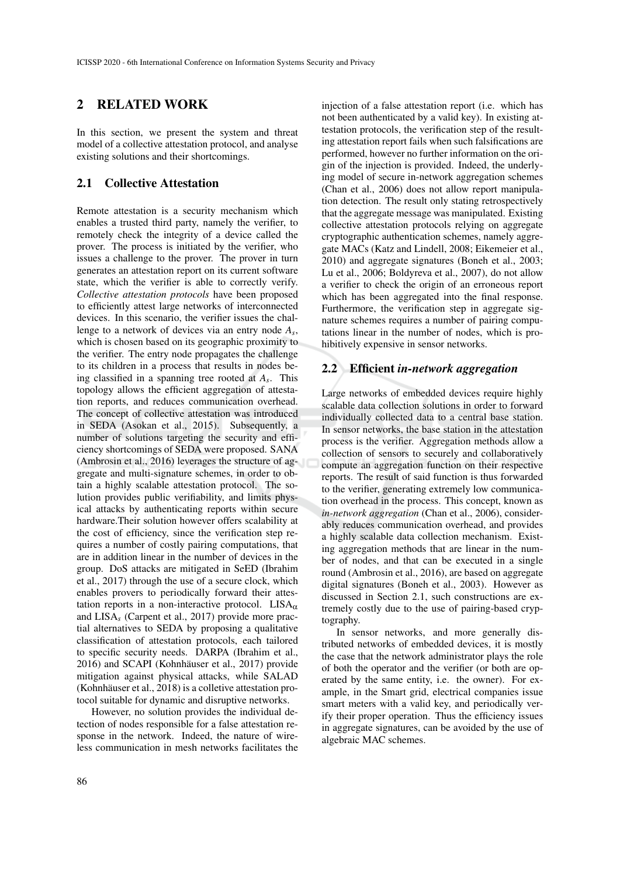## 2 RELATED WORK

In this section, we present the system and threat model of a collective attestation protocol, and analyse existing solutions and their shortcomings.

### 2.1 Collective Attestation

Remote attestation is a security mechanism which enables a trusted third party, namely the verifier, to remotely check the integrity of a device called the prover. The process is initiated by the verifier, who issues a challenge to the prover. The prover in turn generates an attestation report on its current software state, which the verifier is able to correctly verify. *Collective attestation protocols* have been proposed to efficiently attest large networks of interconnected devices. In this scenario, the verifier issues the challenge to a network of devices via an entry node *A<sup>s</sup>* , which is chosen based on its geographic proximity to the verifier. The entry node propagates the challenge to its children in a process that results in nodes being classified in a spanning tree rooted at *A<sup>s</sup>* . This topology allows the efficient aggregation of attestation reports, and reduces communication overhead. The concept of collective attestation was introduced in SEDA (Asokan et al., 2015). Subsequently, a number of solutions targeting the security and efficiency shortcomings of SEDA were proposed. SANA (Ambrosin et al., 2016) leverages the structure of aggregate and multi-signature schemes, in order to obtain a highly scalable attestation protocol. The solution provides public verifiability, and limits physical attacks by authenticating reports within secure hardware.Their solution however offers scalability at the cost of efficiency, since the verification step requires a number of costly pairing computations, that are in addition linear in the number of devices in the group. DoS attacks are mitigated in SeED (Ibrahim et al., 2017) through the use of a secure clock, which enables provers to periodically forward their attestation reports in a non-interactive protocol. LISA $_{\alpha}$ and LISA*<sup>s</sup>* (Carpent et al., 2017) provide more practial alternatives to SEDA by proposing a qualitative classification of attestation protocols, each tailored to specific security needs. DARPA (Ibrahim et al., 2016) and SCAPI (Kohnhäuser et al., 2017) provide mitigation against physical attacks, while SALAD (Kohnhäuser et al., 2018) is a colletive attestation protocol suitable for dynamic and disruptive networks.

However, no solution provides the individual detection of nodes responsible for a false attestation response in the network. Indeed, the nature of wireless communication in mesh networks facilitates the

injection of a false attestation report (i.e. which has not been authenticated by a valid key). In existing attestation protocols, the verification step of the resulting attestation report fails when such falsifications are performed, however no further information on the origin of the injection is provided. Indeed, the underlying model of secure in-network aggregation schemes (Chan et al., 2006) does not allow report manipulation detection. The result only stating retrospectively that the aggregate message was manipulated. Existing collective attestation protocols relying on aggregate cryptographic authentication schemes, namely aggregate MACs (Katz and Lindell, 2008; Eikemeier et al., 2010) and aggregate signatures (Boneh et al., 2003; Lu et al., 2006; Boldyreva et al., 2007), do not allow a verifier to check the origin of an erroneous report which has been aggregated into the final response. Furthermore, the verification step in aggregate signature schemes requires a number of pairing computations linear in the number of nodes, which is prohibitively expensive in sensor networks.

#### 2.2 Efficient *in-network aggregation*

Large networks of embedded devices require highly scalable data collection solutions in order to forward individually collected data to a central base station. In sensor networks, the base station in the attestation process is the verifier. Aggregation methods allow a collection of sensors to securely and collaboratively compute an aggregation function on their respective reports. The result of said function is thus forwarded to the verifier, generating extremely low communication overhead in the process. This concept, known as *in-network aggregation* (Chan et al., 2006), considerably reduces communication overhead, and provides a highly scalable data collection mechanism. Existing aggregation methods that are linear in the number of nodes, and that can be executed in a single round (Ambrosin et al., 2016), are based on aggregate digital signatures (Boneh et al., 2003). However as discussed in Section 2.1, such constructions are extremely costly due to the use of pairing-based cryptography.

In sensor networks, and more generally distributed networks of embedded devices, it is mostly the case that the network administrator plays the role of both the operator and the verifier (or both are operated by the same entity, i.e. the owner). For example, in the Smart grid, electrical companies issue smart meters with a valid key, and periodically verify their proper operation. Thus the efficiency issues in aggregate signatures, can be avoided by the use of algebraic MAC schemes.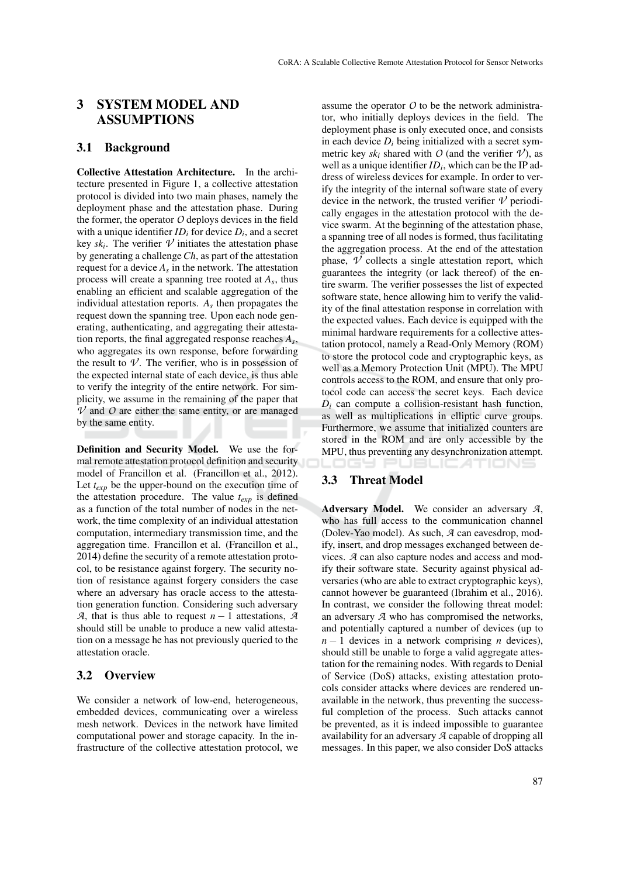# 3 SYSTEM MODEL AND ASSUMPTIONS

### 3.1 Background

Collective Attestation Architecture. In the architecture presented in Figure 1, a collective attestation protocol is divided into two main phases, namely the deployment phase and the attestation phase. During the former, the operator *O* deploys devices in the field with a unique identifier  $ID_i$  for device  $D_i$ , and a secret key  $sk_i$ . The verifier  $\nu$  initiates the attestation phase by generating a challenge*Ch*, as part of the attestation request for a device *A<sup>s</sup>* in the network. The attestation process will create a spanning tree rooted at *A<sup>s</sup>* , thus enabling an efficient and scalable aggregation of the individual attestation reports. *A<sup>s</sup>* then propagates the request down the spanning tree. Upon each node generating, authenticating, and aggregating their attestation reports, the final aggregated response reaches *A<sup>s</sup>* , who aggregates its own response, before forwarding the result to  $\nu$ . The verifier, who is in possession of the expected internal state of each device, is thus able to verify the integrity of the entire network. For simplicity, we assume in the remaining of the paper that  $\nu$  and  $\nu$  are either the same entity, or are managed by the same entity.

Definition and Security Model. We use the formal remote attestation protocol definition and security model of Francillon et al. (Francillon et al., 2012). Let  $t_{\text{exp}}$  be the upper-bound on the execution time of the attestation procedure. The value *texp* is defined as a function of the total number of nodes in the network, the time complexity of an individual attestation computation, intermediary transmission time, and the aggregation time. Francillon et al. (Francillon et al., 2014) define the security of a remote attestation protocol, to be resistance against forgery. The security notion of resistance against forgery considers the case where an adversary has oracle access to the attestation generation function. Considering such adversary *A*, that is thus able to request  $n-1$  attestations, *A* should still be unable to produce a new valid attestation on a message he has not previously queried to the attestation oracle.

### 3.2 Overview

We consider a network of low-end, heterogeneous, embedded devices, communicating over a wireless mesh network. Devices in the network have limited computational power and storage capacity. In the infrastructure of the collective attestation protocol, we

assume the operator *O* to be the network administrator, who initially deploys devices in the field. The deployment phase is only executed once, and consists in each device  $D_i$  being initialized with a secret symmetric key  $sk_i$  shared with *O* (and the verifier  $\mathcal{V}$ ), as well as a unique identifier *ID<sup>i</sup>* , which can be the IP address of wireless devices for example. In order to verify the integrity of the internal software state of every device in the network, the trusted verifier  $\mathcal V$  periodically engages in the attestation protocol with the device swarm. At the beginning of the attestation phase, a spanning tree of all nodes is formed, thus facilitating the aggregation process. At the end of the attestation phase,  $\overline{V}$  collects a single attestation report, which guarantees the integrity (or lack thereof) of the entire swarm. The verifier possesses the list of expected software state, hence allowing him to verify the validity of the final attestation response in correlation with the expected values. Each device is equipped with the minimal hardware requirements for a collective attestation protocol, namely a Read-Only Memory (ROM) to store the protocol code and cryptographic keys, as well as a Memory Protection Unit (MPU). The MPU controls access to the ROM, and ensure that only protocol code can access the secret keys. Each device  $D_i$  can compute a collision-resistant hash function, as well as multiplications in elliptic curve groups. Furthermore, we assume that initialized counters are stored in the ROM and are only accessible by the MPU, thus preventing any desynchronization attempt. Logy Pl JBLIC ATIONS

## 3.3 Threat Model

Adversary Model. We consider an adversary *A*, who has full access to the communication channel (Dolev-Yao model). As such, *A* can eavesdrop, modify, insert, and drop messages exchanged between devices. *A* can also capture nodes and access and modify their software state. Security against physical adversaries (who are able to extract cryptographic keys), cannot however be guaranteed (Ibrahim et al., 2016). In contrast, we consider the following threat model: an adversary *A* who has compromised the networks, and potentially captured a number of devices (up to *n* − 1 devices in a network comprising *n* devices), should still be unable to forge a valid aggregate attestation for the remaining nodes. With regards to Denial of Service (DoS) attacks, existing attestation protocols consider attacks where devices are rendered unavailable in the network, thus preventing the successful completion of the process. Such attacks cannot be prevented, as it is indeed impossible to guarantee availability for an adversary *A* capable of dropping all messages. In this paper, we also consider DoS attacks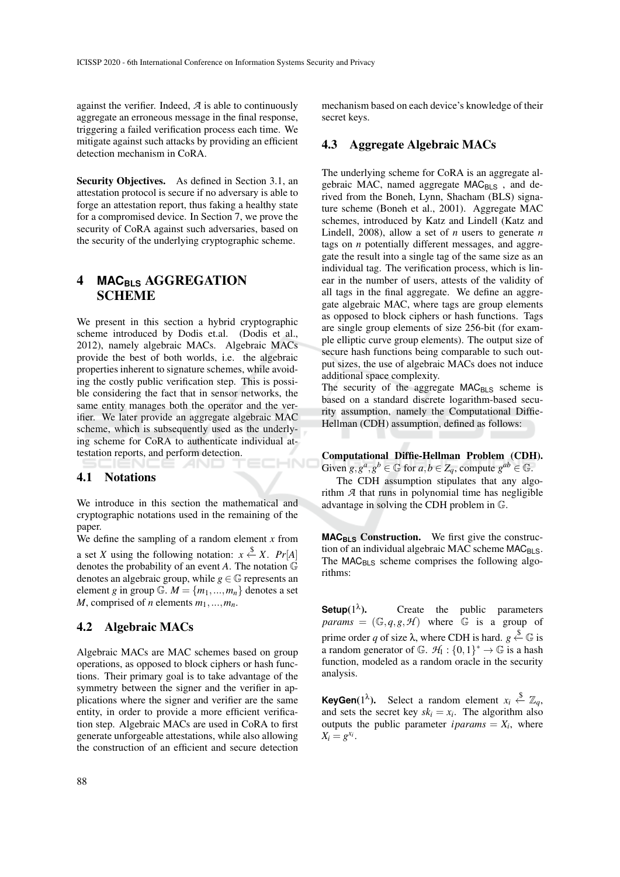against the verifier. Indeed, *A* is able to continuously aggregate an erroneous message in the final response, triggering a failed verification process each time. We mitigate against such attacks by providing an efficient detection mechanism in CoRA.

Security Objectives. As defined in Section 3.1, an attestation protocol is secure if no adversary is able to forge an attestation report, thus faking a healthy state for a compromised device. In Section 7, we prove the security of CoRA against such adversaries, based on the security of the underlying cryptographic scheme.

# 4 **MACBLS** AGGREGATION SCHEME

We present in this section a hybrid cryptographic scheme introduced by Dodis et.al. (Dodis et al., 2012), namely algebraic MACs. Algebraic MACs provide the best of both worlds, i.e. the algebraic properties inherent to signature schemes, while avoiding the costly public verification step. This is possible considering the fact that in sensor networks, the same entity manages both the operator and the verifier. We later provide an aggregate algebraic MAC scheme, which is subsequently used as the underlying scheme for CoRA to authenticate individual attestation reports, and perform detection. НN

### 4.1 Notations

We introduce in this section the mathematical and cryptographic notations used in the remaining of the paper.

We define the sampling of a random element *x* from a set *X* using the following notation:  $x \stackrel{\$}{\leftarrow} X$ .  $Pr[A]$ denotes the probability of an event *A*. The notation G denotes an algebraic group, while  $g \in \mathbb{G}$  represents an element *g* in group  $\mathbb{G}$ .  $M = \{m_1, ..., m_n\}$  denotes a set *M*, comprised of *n* elements  $m_1, \ldots, m_n$ .

#### 4.2 Algebraic MACs

Algebraic MACs are MAC schemes based on group operations, as opposed to block ciphers or hash functions. Their primary goal is to take advantage of the symmetry between the signer and the verifier in applications where the signer and verifier are the same entity, in order to provide a more efficient verification step. Algebraic MACs are used in CoRA to first generate unforgeable attestations, while also allowing the construction of an efficient and secure detection

88

mechanism based on each device's knowledge of their secret keys.

## 4.3 Aggregate Algebraic MACs

The underlying scheme for CoRA is an aggregate algebraic MAC, named aggregate MAC<sub>BLS</sub>, and derived from the Boneh, Lynn, Shacham (BLS) signature scheme (Boneh et al., 2001). Aggregate MAC schemes, introduced by Katz and Lindell (Katz and Lindell, 2008), allow a set of *n* users to generate *n* tags on *n* potentially different messages, and aggregate the result into a single tag of the same size as an individual tag. The verification process, which is linear in the number of users, attests of the validity of all tags in the final aggregate. We define an aggregate algebraic MAC, where tags are group elements as opposed to block ciphers or hash functions. Tags are single group elements of size 256-bit (for example elliptic curve group elements). The output size of secure hash functions being comparable to such output sizes, the use of algebraic MACs does not induce additional space complexity.

The security of the aggregate  $MAC<sub>BLS</sub>$  scheme is based on a standard discrete logarithm-based security assumption, namely the Computational Diffie-Hellman (CDH) assumption, defined as follows:

Computational Diffie-Hellman Problem (CDH). Given  $g, g^a, g^b \in \mathbb{G}$  for  $a, b \in Z_q$ , compute  $g^{ab} \in \mathbb{G}$ .

The CDH assumption stipulates that any algorithm *A* that runs in polynomial time has negligible advantage in solving the CDH problem in G.

**MAC<sub>BLS</sub>** Construction. We first give the construction of an individual algebraic MAC scheme  $MAC_{BLS}$ . The MAC<sub>BLS</sub> scheme comprises the following algorithms:

**Setup**(1 λ ). Create the public parameters *params* =  $(\mathbb{G}, q, g, \mathcal{H})$  where  $\mathbb{G}$  is a group of prime order *q* of size  $\lambda$ , where CDH is hard.  $g \stackrel{\$}{\leftarrow} \mathbb{G}$  is a random generator of  $\mathbb{G}$ .  $\mathcal{H}_1$ :  $\{0,1\}^* \to \mathbb{G}$  is a hash function, modeled as a random oracle in the security analysis.

**KeyGen**(1<sup> $\lambda$ </sup>). Select a random element  $x_i \stackrel{\$}{\leftarrow} \mathbb{Z}_q$ , and sets the secret key  $sk_i = x_i$ . The algorithm also outputs the public parameter  $iparams = X_i$ , where  $X_i = g^{x_i}.$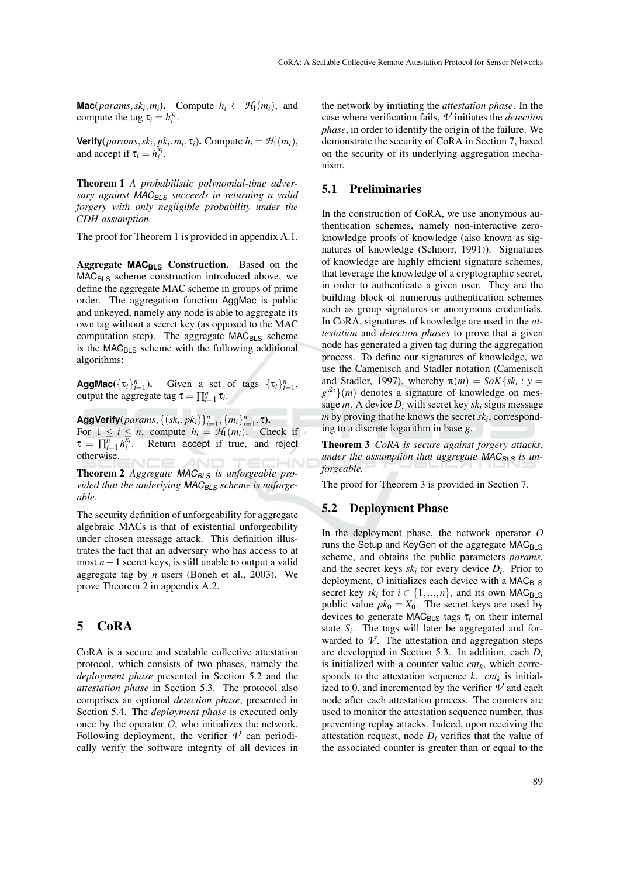**Mac**(*params*,*sk<sub>i</sub>*,*m<sub>i</sub>*). Compute  $h_i \leftarrow H_1(m_i)$ , and compute the tag  $\tau_i = h_i^{x_i}$ .

**Verify**( $params, sk_i, pk_i, m_i, \tau_i$ ). Compute  $h_i = H_1(m_i)$ , and accept if  $\tau_i = h_i^{x_i}$ .

Theorem 1 *A probabilistic polynomial-time adversary against MACBLS succeeds in returning a valid forgery with only negligible probability under the CDH assumption.*

The proof for Theorem 1 is provided in appendix A.1.

Aggregate MAC<sub>BLS</sub> Construction. Based on the  $MAC_{BLS}$  scheme construction introduced above, we define the aggregate MAC scheme in groups of prime order. The aggregation function AggMac is public and unkeyed, namely any node is able to aggregate its own tag without a secret key (as opposed to the MAC computation step). The aggregate  $MAC<sub>BLS</sub>$  scheme is the  $MAC<sub>BLS</sub>$  scheme with the following additional algorithms:

**AggMac**( $\{\tau_i\}_{i=1}^n$ ). Given a set of tags  $\{\tau_i\}_{i=1}^n$ , output the aggregate tag  $\tau = \prod_{i=1}^{n} \tau_i$ .

 $\mathsf{AggVerify}(params, \{(sk_i, pk_i)\}_{i=1}^n, \{m_i\}_{i=1}^n, \tau).$ For  $1 \le i \le n$ , compute  $h_i = \mathcal{H}_1(m_i)$ . Check if  $\tau = \prod_{i=1}^{n} h_i^{\overline{x_i}}$ . Return accept if true, and reject otherwise.

Theorem 2 *Aggregate MACBLS is unforgeable provided that the underlying MACBLS scheme is unforgeable.*

The security definition of unforgeability for aggregate algebraic MACs is that of existential unforgeability under chosen message attack. This definition illustrates the fact that an adversary who has access to at most *n*−1 secret keys, is still unable to output a valid aggregate tag by *n* users (Boneh et al., 2003). We prove Theorem 2 in appendix A.2.

## 5 CoRA

CoRA is a secure and scalable collective attestation protocol, which consists of two phases, namely the *deployment phase* presented in Section 5.2 and the *attestation phase* in Section 5.3. The protocol also comprises an optional *detection phase*, presented in Section 5.4. The *deployment phase* is executed only once by the operator *O*, who initializes the network. Following deployment, the verifier  $\nu$  can periodically verify the software integrity of all devices in

the network by initiating the *attestation phase*. In the case where verification fails, *V* initiates the *detection phase*, in order to identify the origin of the failure. We demonstrate the security of CoRA in Section 7, based on the security of its underlying aggregation mechanism.

### 5.1 Preliminaries

In the construction of CoRA, we use anonymous authentication schemes, namely non-interactive zeroknowledge proofs of knowledge (also known as signatures of knowledge (Schnorr, 1991)). Signatures of knowledge are highly efficient signature schemes, that leverage the knowledge of a cryptographic secret, in order to authenticate a given user. They are the building block of numerous authentication schemes such as group signatures or anonymous credentials. In CoRA, signatures of knowledge are used in the *attestation* and *detection phases* to prove that a given node has generated a given tag during the aggregation process. To define our signatures of knowledge, we use the Camenisch and Stadler notation (Camenisch and Stadler, 1997), whereby  $\pi(m) = SoK\{sk_i : y =$  $g^{sk}$ <sup>2</sup>}(*m*) denotes a signature of knowledge on message *m*. A device  $D_i$  with secret key  $sk_i$  signs message *m* by proving that he knows the secret *sk<sup>i</sup>* , corresponding to a discrete logarithm in base *g*.

Theorem 3 *CoRA is secure against forgery attacks, under the assumption that aggregate MACBLS is unforgeable.*

The proof for Theorem 3 is provided in Section 7.

### 5.2 Deployment Phase

In the deployment phase, the network operaror *O* runs the Setup and KeyGen of the aggregate  $MAC_{BLS}$ scheme, and obtains the public parameters *params*, and the secret keys  $sk_i$  for every device  $D_i$ . Prior to deployment,  $O$  initializes each device with a  $MAC_{BLS}$ secret key  $sk_i$  for  $i \in \{1, ..., n\}$ , and its own MAC<sub>BLS</sub> public value  $pk_0 = X_0$ . The secret keys are used by devices to generate MAC<sub>BLS</sub> tags τ<sub>i</sub> on their internal state  $S_i$ . The tags will later be aggregated and forwarded to  $\nu$ . The attestation and aggregation steps are developped in Section 5.3. In addition, each *D<sup>i</sup>* is initialized with a counter value *cntk*, which corresponds to the attestation sequence  $k$ . *cnt*<sub>k</sub> is initialized to 0, and incremented by the verifier  $\nu$  and each node after each attestation process. The counters are used to monitor the attestation sequence number, thus preventing replay attacks. Indeed, upon receiving the attestation request, node  $D_i$  verifies that the value of the associated counter is greater than or equal to the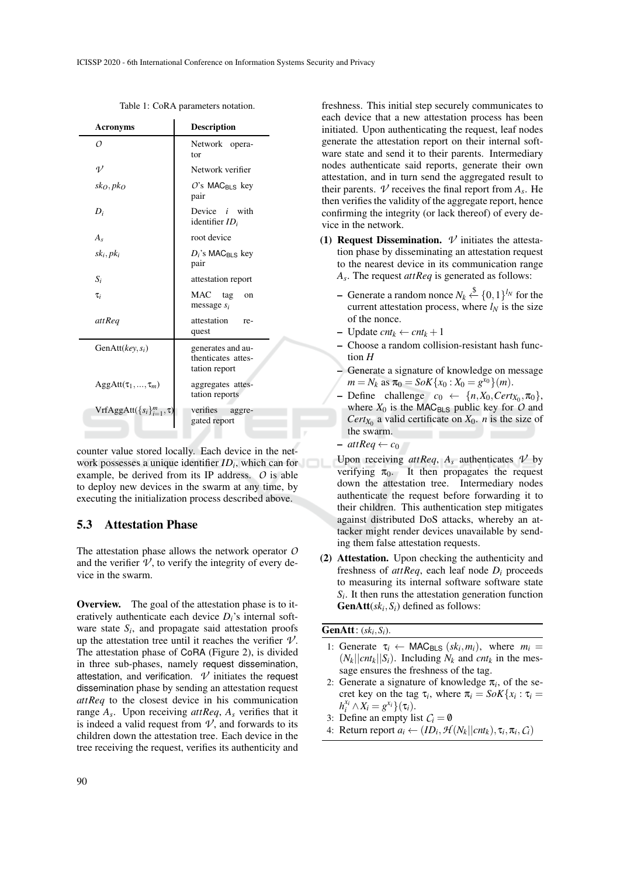| <b>Acronyms</b>                  | <b>Description</b>                                       |  |
|----------------------------------|----------------------------------------------------------|--|
| Ω                                | Network opera-<br>tor                                    |  |
| $\eta$                           | Network verifier                                         |  |
| sko, pko                         | $O$ 's MAC <sub>BLS</sub> key<br>pair                    |  |
| $D_i$                            | Device $i$ with<br>identifier $ID_i$                     |  |
| $A_{s}$                          | root device                                              |  |
| $sk_i, pk_i$                     | $D_i$ 's MAC <sub>BLS</sub> key<br>pair                  |  |
| $S_i$                            | attestation report                                       |  |
| $\tau_i$                         | MAC tag<br>on<br>message $s_i$                           |  |
| attReq                           | attestation<br>re-<br>quest                              |  |
| GenAtt $(key, s_i)$              | generates and au-<br>thenticates attes-<br>tation report |  |
| $AggAtt(\tau_1,,\tau_m)$         | aggregates attes-<br>tation reports                      |  |
| $VrfAggAtt({s_i}_{i=1}^m, \tau)$ | verifies<br>aggre-<br>gated report                       |  |

Table 1: CoRA parameters notation.

counter value stored locally. Each device in the network possesses a unique identifier *ID<sup>i</sup>* , which can for example, be derived from its IP address. *O* is able to deploy new devices in the swarm at any time, by executing the initialization process described above.

#### 5.3 Attestation Phase

The attestation phase allows the network operator *O* and the verifier  $\nu$ , to verify the integrity of every device in the swarm.

Overview. The goal of the attestation phase is to iteratively authenticate each device *Di*'s internal software state  $S_i$ , and propagate said attestation proofs up the attestation tree until it reaches the verifier  $\mathcal{V}$ . The attestation phase of CoRA (Figure 2), is divided in three sub-phases, namely request dissemination, attestation, and verification.  $\nu$  initiates the request dissemination phase by sending an attestation request *attReq* to the closest device in his communication range *A<sup>s</sup>* . Upon receiving *attReq*, *A<sup>s</sup>* verifies that it is indeed a valid request from  $\mathcal{V}$ , and forwards to its children down the attestation tree. Each device in the tree receiving the request, verifies its authenticity and

freshness. This initial step securely communicates to each device that a new attestation process has been initiated. Upon authenticating the request, leaf nodes generate the attestation report on their internal software state and send it to their parents. Intermediary nodes authenticate said reports, generate their own attestation, and in turn send the aggregated result to their parents.  $\nu$  receives the final report from  $A_s$ . He then verifies the validity of the aggregate report, hence confirming the integrity (or lack thereof) of every device in the network.

- (1) **Request Dissemination.**  $\nu$  initiates the attestation phase by disseminating an attestation request to the nearest device in its communication range *As* . The request *attReq* is generated as follows:
	- − Generate a random nonce  $N_k \stackrel{\$}{\leftarrow} \{0,1\}^{l_N}$  for the current attestation process, where  $l_N$  is the size of the nonce.
	- Update *cnt<sup>k</sup>* ← *cnt<sup>k</sup>* +1
	- Choose a random collision-resistant hash function *H*
	- Generate a signature of knowledge on message  $m = N_k$  as  $\pi_0 = SoK\{x_0 : X_0 = g^{x_0}\}(m)$ .
	- $-$  Define challenge  $c_0 \leftarrow \{n, X_0, \text{Cert}(X_0, \pi_0)\},$ where  $X_0$  is the MAC<sub>BLS</sub> public key for  $O$  and *Cert*<sub>*X*<sup>0</sup></sub> a valid certificate on *X*<sup>0</sup>. *n* is the size of the swarm.
	- $-$  *attReq*  $\leftarrow$  *c*<sub>0</sub>

Upon receiving  $attReq, A<sub>s</sub>$  authenticates  $V$  by verifying  $\pi_0$ . It then propagates the request down the attestation tree. Intermediary nodes authenticate the request before forwarding it to their children. This authentication step mitigates against distributed DoS attacks, whereby an attacker might render devices unavailable by sending them false attestation requests.

(2) Attestation. Upon checking the authenticity and freshness of  $attReq$ , each leaf node  $D_i$  proceeds to measuring its internal software software state  $S_i$ . It then runs the attestation generation function **GenAtt** $(sk_i, S_i)$  defined as follows:

#### **GenAtt**:  $(sk_i, S_i)$ .

- 1: Generate  $\tau_i \leftarrow \text{MAC}_{\text{BLS}} (sk_i, m_i)$ , where  $m_i =$  $(N_k||cnt_k||S_i)$ . Including  $N_k$  and  $cnt_k$  in the message ensures the freshness of the tag.
- 2: Generate a signature of knowledge  $\pi$ <sub>i</sub>, of the secret key on the tag  $\tau_i$ , where  $\pi_i = SoK\{x_i : \tau_i =$  $h_i^{x_i} \wedge X_i = g^{x_i} \cdot (\tau_i).$
- 3: Define an empty list  $C_i = \emptyset$
- 4: Return report  $a_i \leftarrow (ID_i, \mathcal{H}(N_k || ent_k), \tau_i, \pi_i, C_i)$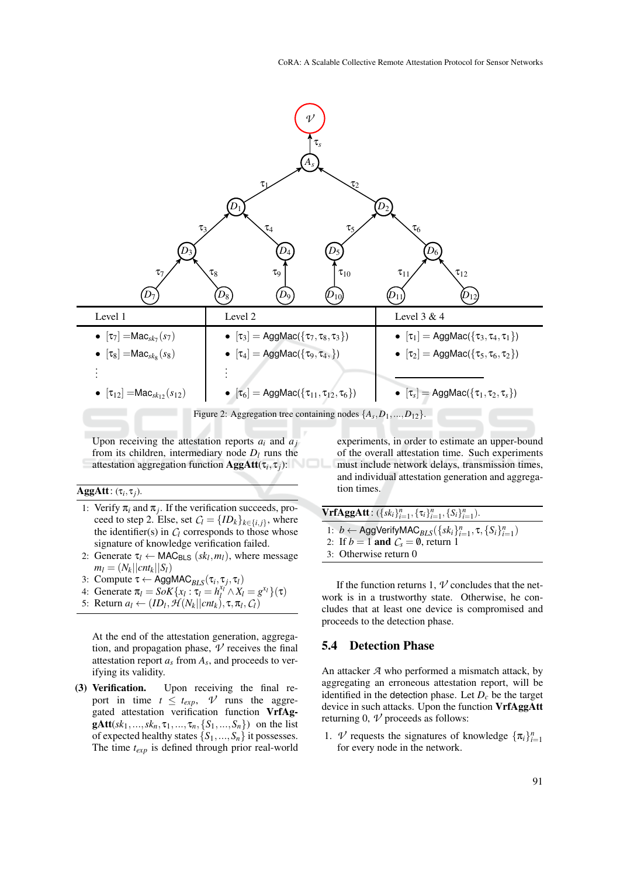

Upon receiving the attestation reports  $a_i$  and  $a_j$ from its children, intermediary node  $D_l$  runs the attestation aggregation function AggAtt(τ*<sup>i</sup>* , τ *<sup>j</sup>*):

#### $\text{AggAtt}: (\tau_i, \tau_j)$ .

- 1: Verify  $\pi_i$  and  $\pi_j$ . If the verification succeeds, proceed to step 2. Else, set  $C_l = \{ID_k\}_{k \in \{i,j\}}$ , where the identifier(s) in  $C_l$  corresponds to those whose signature of knowledge verification failed.
- 2: Generate  $\tau_l \leftarrow \text{MAC}_{\text{BLS}} (sk_l, m_l)$ , where message  $m_l = (N_k || c n t_k || S_l)$
- 3: Compute  $\tau \leftarrow \text{AggMAC}_{BLS}(\tau_i, \tau_j, \tau_l)$
- 4: Generate  $\pi_l = S \circ K \{ x_l : \tau_l = h_l^{x_l} \land X_l = g^{x_l} \}(\tau)$
- 5: Return  $a_l \leftarrow (ID_l, \mathcal{H}(N_k || ent_k), \tau, \pi_l, C_l)$

At the end of the attestation generation, aggregation, and propagation phase,  $\nu$  receives the final attestation report *a<sup>s</sup>* from *A<sup>s</sup>* , and proceeds to verifying its validity.

(3) Verification. Upon receiving the final report in time  $t \leq t_{exp}$ ,  $V$  runs the aggregated attestation verification function VrfAg**gAtt**(*sk*<sub>1</sub>,...,*sk<sub>n</sub>*,  $\tau_1$ ,...,  $\tau_n$ , {*S*<sub>1</sub>,..., *S<sub>n</sub>*}) on the list of expected healthy states  $\{S_1, ..., S_n\}$  it possesses. The time *texp* is defined through prior real-world experiments, in order to estimate an upper-bound of the overall attestation time. Such experiments must include network delays, transmission times, and individual attestation generation and aggregation times.

 $VrfAggAtt: (\{sk_i\}_{i=1}^n, \{\tau_i\}_{i=1}^n, \{S_i\}_{i=1}^n).$ 1:  $b \leftarrow \text{AggVerifyMAC}_{BLS}(\lbrace sk_i \rbrace_{i=1}^n, \tau, \lbrace S_i \rbrace_{i=1}^n)$ 2: If  $b = 1$  and  $C_s = \emptyset$ , return 1

3: Otherwise return 0

If the function returns 1,  $\nu$  concludes that the network is in a trustworthy state. Otherwise, he concludes that at least one device is compromised and proceeds to the detection phase.

#### 5.4 Detection Phase

An attacker *A* who performed a mismatch attack, by aggregating an erroneous attestation report, will be identified in the detection phase. Let  $D_c$  be the target device in such attacks. Upon the function VrfAggAtt returning 0,  $\nu$  proceeds as follows:

1. *V* requests the signatures of knowledge  ${\pi_i}_{i=1}^n$ for every node in the network.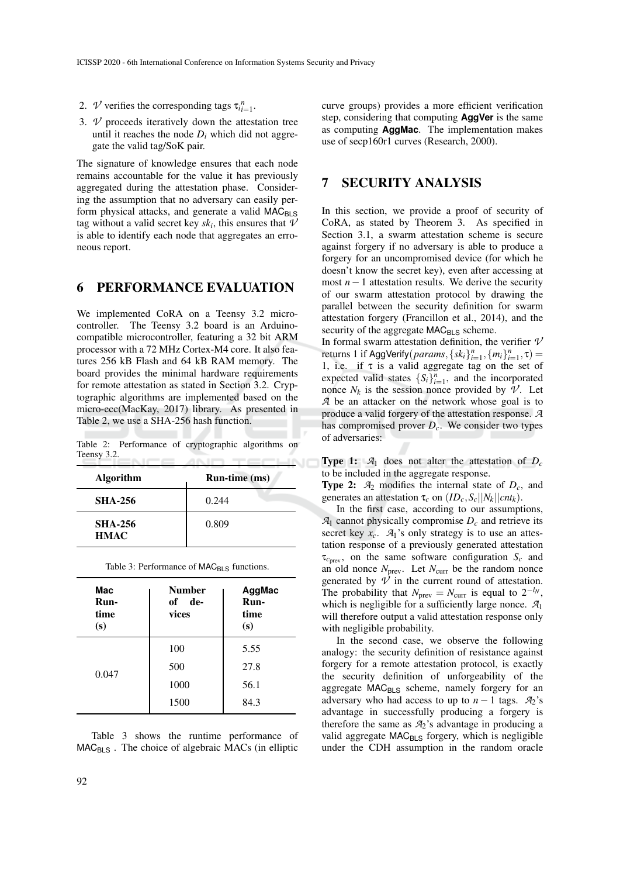- 2. *V* verifies the corresponding tags  $\tau_{i}^{n}$ <sub>*i*=1</sub>.
- 3. *V* proceeds iteratively down the attestation tree until it reaches the node  $D_i$  which did not aggregate the valid tag/SoK pair.

The signature of knowledge ensures that each node remains accountable for the value it has previously aggregated during the attestation phase. Considering the assumption that no adversary can easily perform physical attacks, and generate a valid MAC<sub>BLS</sub> tag without a valid secret key  $sk_i$ , this ensures that  $\vartheta$ is able to identify each node that aggregates an erroneous report.

## 6 PERFORMANCE EVALUATION

We implemented CoRA on a Teensy 3.2 microcontroller. The Teensy 3.2 board is an Arduinocompatible microcontroller, featuring a 32 bit ARM processor with a 72 MHz Cortex-M4 core. It also features 256 kB Flash and 64 kB RAM memory. The board provides the minimal hardware requirements for remote attestation as stated in Section 3.2. Cryptographic algorithms are implemented based on the micro-ecc(MacKay, 2017) library. As presented in Table 2, we use a SHA-256 hash function.

Table 2: Performance of cryptographic algorithms on Teensy 3.2.

| <b>Algorithm</b>              | Run-time (ms) |  |
|-------------------------------|---------------|--|
| <b>SHA-256</b>                | 0.244         |  |
| <b>SHA-256</b><br><b>HMAC</b> | 0.809         |  |

| Table 3: Performance of MAC <sub>BLS</sub> functions. |  |  |
|-------------------------------------------------------|--|--|
|-------------------------------------------------------|--|--|

| Mac<br>Run-<br>time<br>(s) | Number<br>of de-<br>vices | AggMac<br>Run-<br>time<br>(s) |
|----------------------------|---------------------------|-------------------------------|
| 0.047                      | 100                       | 5.55                          |
|                            | 500                       | 27.8                          |
|                            | 1000                      | 56.1                          |
|                            | 1500                      | 84.3                          |

Table 3 shows the runtime performance of  $MAC<sub>BLS</sub>$ . The choice of algebraic MACs (in elliptic curve groups) provides a more efficient verification step, considering that computing **AggVer** is the same as computing **AggMac**. The implementation makes use of secp160r1 curves (Research, 2000).

## 7 SECURITY ANALYSIS

In this section, we provide a proof of security of CoRA, as stated by Theorem 3. As specified in Section 3.1, a swarm attestation scheme is secure against forgery if no adversary is able to produce a forgery for an uncompromised device (for which he doesn't know the secret key), even after accessing at most  $n-1$  attestation results. We derive the security of our swarm attestation protocol by drawing the parallel between the security definition for swarm attestation forgery (Francillon et al., 2014), and the security of the aggregate  $MAC_{BLS}$  scheme.

In formal swarm attestation definition, the verifier *V* returns 1 if AggVerify(*params*, { $sk_i$ } $_{i=1}^n$ , { $m_i$ } $_{i=1}^n$ ,  $\tau$ ) = 1, i.e. if  $\tau$  is a valid aggregate tag on the set of expected valid states  $\{S_i\}_{i=1}^n$ , and the incorporated nonce  $N_k$  is the session nonce provided by  $\mathcal V$ . Let *A* be an attacker on the network whose goal is to produce a valid forgery of the attestation response. *A* has compromised prover *Dc*. We consider two types of adversaries:

**Type 1:**  $A_1$  does not alter the attestation of  $D_c$ to be included in the aggregate response.

**Type 2:**  $A_2$  modifies the internal state of  $D_c$ , and generates an attestation  $\tau_c$  on  $(ID_c, S_c || N_k || cnt_k)$ .

In the first case, according to our assumptions,  $\mathcal{A}_1$  cannot physically compromise  $D_c$  and retrieve its secret key  $x_c$ .  $A_1$ 's only strategy is to use an attestation response of a previously generated attestation  $\tau_{c_{\text{prev}}}$ , on the same software configuration  $S_c$  and an old nonce  $N_{\text{prev}}$ . Let  $N_{\text{curr}}$  be the random nonce generated by  $\mathcal V$  in the current round of attestation. The probability that  $N_{prev} = N_{curr}$  is equal to  $2^{-l_N}$ , which is negligible for a sufficiently large nonce. *A*<sup>1</sup> will therefore output a valid attestation response only with negligible probability.

In the second case, we observe the following analogy: the security definition of resistance against forgery for a remote attestation protocol, is exactly the security definition of unforgeability of the aggregate MAC<sub>BLS</sub> scheme, namely forgery for an adversary who had access to up to  $n - 1$  tags.  $A_2$ 's advantage in successfully producing a forgery is therefore the same as  $A_2$ 's advantage in producing a valid aggregate  $MAC_{BLS}$  forgery, which is negligible under the CDH assumption in the random oracle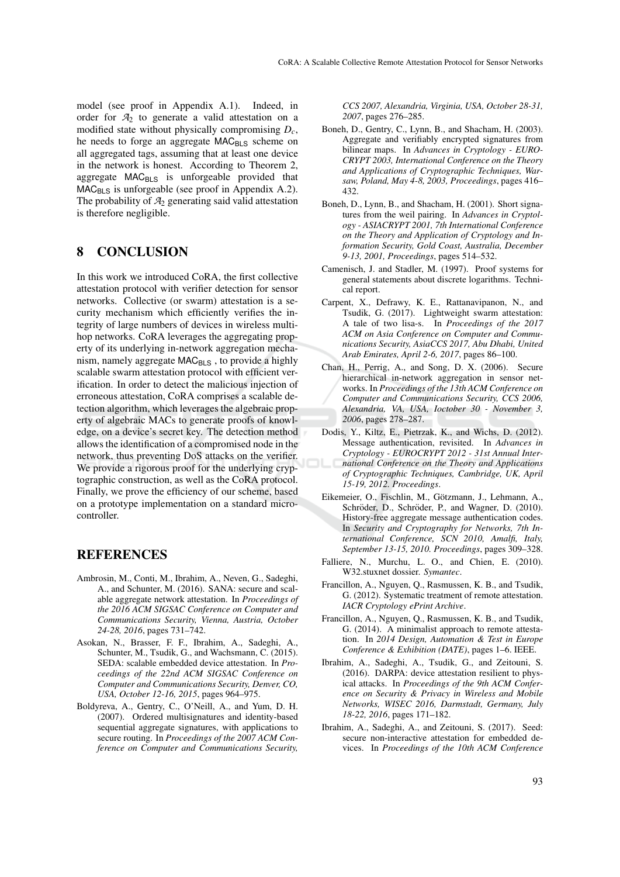model (see proof in Appendix A.1). Indeed, in order for  $A_2$  to generate a valid attestation on a modified state without physically compromising *Dc*, he needs to forge an aggregate MAC<sub>BLS</sub> scheme on all aggregated tags, assuming that at least one device in the network is honest. According to Theorem 2, aggregate  $MAC_{BLS}$  is unforgeable provided that  $MAC_{BLS}$  is unforgeable (see proof in Appendix A.2). The probability of  $A_2$  generating said valid attestation is therefore negligible.

# 8 CONCLUSION

In this work we introduced CoRA, the first collective attestation protocol with verifier detection for sensor networks. Collective (or swarm) attestation is a security mechanism which efficiently verifies the integrity of large numbers of devices in wireless multihop networks. CoRA leverages the aggregating property of its underlying in-network aggregation mechanism, namely aggregate  $MAC<sub>BLS</sub>$ , to provide a highly scalable swarm attestation protocol with efficient verification. In order to detect the malicious injection of erroneous attestation, CoRA comprises a scalable detection algorithm, which leverages the algebraic property of algebraic MACs to generate proofs of knowledge, on a device's secret key. The detection method allows the identification of a compromised node in the network, thus preventing DoS attacks on the verifier. We provide a rigorous proof for the underlying cryptographic construction, as well as the CoRA protocol. Finally, we prove the efficiency of our scheme, based on a prototype implementation on a standard microcontroller.

## **REFERENCES**

- Ambrosin, M., Conti, M., Ibrahim, A., Neven, G., Sadeghi, A., and Schunter, M. (2016). SANA: secure and scalable aggregate network attestation. In *Proceedings of the 2016 ACM SIGSAC Conference on Computer and Communications Security, Vienna, Austria, October 24-28, 2016*, pages 731–742.
- Asokan, N., Brasser, F. F., Ibrahim, A., Sadeghi, A., Schunter, M., Tsudik, G., and Wachsmann, C. (2015). SEDA: scalable embedded device attestation. In *Proceedings of the 22nd ACM SIGSAC Conference on Computer and Communications Security, Denver, CO, USA, October 12-16, 2015*, pages 964–975.
- Boldyreva, A., Gentry, C., O'Neill, A., and Yum, D. H. (2007). Ordered multisignatures and identity-based sequential aggregate signatures, with applications to secure routing. In *Proceedings of the 2007 ACM Conference on Computer and Communications Security,*

*CCS 2007, Alexandria, Virginia, USA, October 28-31, 2007*, pages 276–285.

- Boneh, D., Gentry, C., Lynn, B., and Shacham, H. (2003). Aggregate and verifiably encrypted signatures from bilinear maps. In *Advances in Cryptology - EURO-CRYPT 2003, International Conference on the Theory and Applications of Cryptographic Techniques, Warsaw, Poland, May 4-8, 2003, Proceedings*, pages 416– 432.
- Boneh, D., Lynn, B., and Shacham, H. (2001). Short signatures from the weil pairing. In *Advances in Cryptology - ASIACRYPT 2001, 7th International Conference on the Theory and Application of Cryptology and Information Security, Gold Coast, Australia, December 9-13, 2001, Proceedings*, pages 514–532.
- Camenisch, J. and Stadler, M. (1997). Proof systems for general statements about discrete logarithms. Technical report.
- Carpent, X., Defrawy, K. E., Rattanavipanon, N., and Tsudik, G. (2017). Lightweight swarm attestation: A tale of two lisa-s. In *Proceedings of the 2017 ACM on Asia Conference on Computer and Communications Security, AsiaCCS 2017, Abu Dhabi, United Arab Emirates, April 2-6, 2017*, pages 86–100.
- Chan, H., Perrig, A., and Song, D. X. (2006). Secure hierarchical in-network aggregation in sensor networks. In *Proceedings of the 13th ACM Conference on Computer and Communications Security, CCS 2006, Alexandria, VA, USA, Ioctober 30 - November 3, 2006*, pages 278–287.
- Dodis, Y., Kiltz, E., Pietrzak, K., and Wichs, D. (2012). Message authentication, revisited. In *Advances in Cryptology - EUROCRYPT 2012 - 31st Annual International Conference on the Theory and Applications of Cryptographic Techniques, Cambridge, UK, April 15-19, 2012. Proceedings*.
- Eikemeier, O., Fischlin, M., Götzmann, J., Lehmann, A., Schröder, D., Schröder, P., and Wagner, D. (2010). History-free aggregate message authentication codes. In *Security and Cryptography for Networks, 7th International Conference, SCN 2010, Amalfi, Italy, September 13-15, 2010. Proceedings*, pages 309–328.
- Falliere, N., Murchu, L. O., and Chien, E. (2010). W32.stuxnet dossier. *Symantec*.
- Francillon, A., Nguyen, Q., Rasmussen, K. B., and Tsudik, G. (2012). Systematic treatment of remote attestation. *IACR Cryptology ePrint Archive*.
- Francillon, A., Nguyen, Q., Rasmussen, K. B., and Tsudik, G. (2014). A minimalist approach to remote attestation. In *2014 Design, Automation & Test in Europe Conference & Exhibition (DATE)*, pages 1–6. IEEE.
- Ibrahim, A., Sadeghi, A., Tsudik, G., and Zeitouni, S. (2016). DARPA: device attestation resilient to physical attacks. In *Proceedings of the 9th ACM Conference on Security & Privacy in Wireless and Mobile Networks, WISEC 2016, Darmstadt, Germany, July 18-22, 2016*, pages 171–182.
- Ibrahim, A., Sadeghi, A., and Zeitouni, S. (2017). Seed: secure non-interactive attestation for embedded devices. In *Proceedings of the 10th ACM Conference*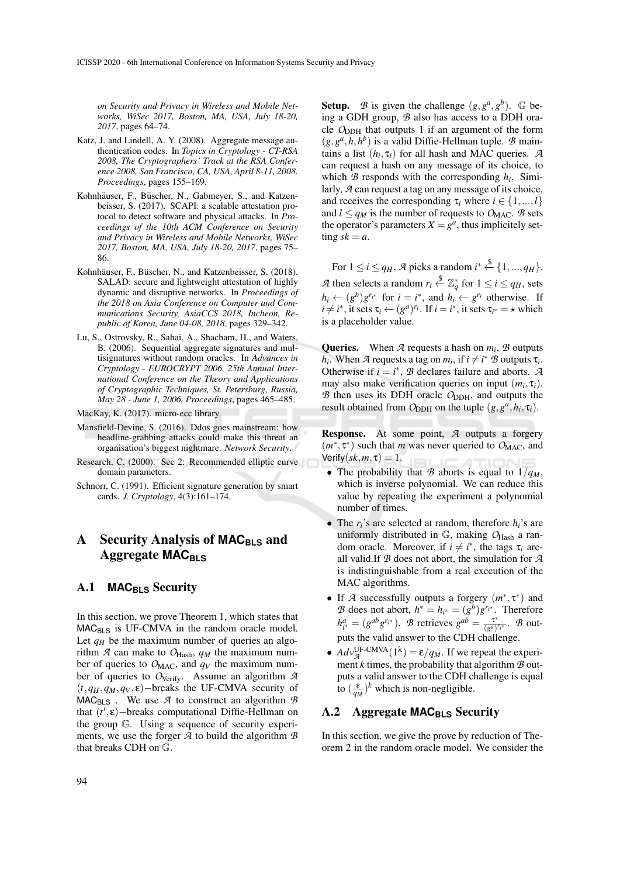*on Security and Privacy in Wireless and Mobile Networks, WiSec 2017, Boston, MA, USA, July 18-20, 2017*, pages 64–74.

- Katz, J. and Lindell, A. Y. (2008). Aggregate message authentication codes. In *Topics in Cryptology - CT-RSA 2008, The Cryptographers' Track at the RSA Conference 2008, San Francisco, CA, USA, April 8-11, 2008. Proceedings*, pages 155–169.
- Kohnhäuser, F., Büscher, N., Gabmeyer, S., and Katzenbeisser, S. (2017). SCAPI: a scalable attestation protocol to detect software and physical attacks. In *Proceedings of the 10th ACM Conference on Security and Privacy in Wireless and Mobile Networks, WiSec 2017, Boston, MA, USA, July 18-20, 2017*, pages 75– 86.
- Kohnhäuser, F., Büscher, N., and Katzenbeisser, S. (2018). SALAD: secure and lightweight attestation of highly dynamic and disruptive networks. In *Proceedings of the 2018 on Asia Conference on Computer and Communications Security, AsiaCCS 2018, Incheon, Republic of Korea, June 04-08, 2018*, pages 329–342.
- Lu, S., Ostrovsky, R., Sahai, A., Shacham, H., and Waters, B. (2006). Sequential aggregate signatures and multisignatures without random oracles. In *Advances in Cryptology - EUROCRYPT 2006, 25th Annual International Conference on the Theory and Applications of Cryptographic Techniques, St. Petersburg, Russia, May 28 - June 1, 2006, Proceedings*, pages 465–485.
- MacKay, K. (2017). micro-ecc library.
- Mansfield-Devine, S. (2016). Ddos goes mainstream: how headline-grabbing attacks could make this threat an organisation's biggest nightmare. *Network Security*.
- Research, C. (2000). Sec 2: Recommended elliptic curve domain parameters.
- Schnorr, C. (1991). Efficient signature generation by smart cards. *J. Cryptology*, 4(3):161–174.

# A Security Analysis of MAC<sub>BLS</sub> and Aggregate **MAC**<sub>BLS</sub>

### A.1 **MAC**<sub>BLS</sub> Security

In this section, we prove Theorem 1, which states that  $MAC<sub>BLS</sub>$  is UF-CMVA in the random oracle model. Let  $q<sub>H</sub>$  be the maximum number of queries an algorithm  $\mathcal{A}$  can make to  $O_{\text{Hash}}$ ,  $q_M$  the maximum number of queries to  $O_{\text{MAC}}$ , and  $q_V$  the maximum number of queries to O<sub>Verify</sub>. Assume an algorithm  $\mathcal{A}$ (*t*,*qH*,*qM*,*q<sup>V</sup>* , ε)−breaks the UF-CMVA security of  $MAC_{BLS}$ . We use  $A$  to construct an algorithm  $B$ that  $(t', \varepsilon)$ -breaks computational Diffie-Hellman on the group G. Using a sequence of security experiments, we use the forger *A* to build the algorithm *B* that breaks CDH on G.

**Setup.** *B* is given the challenge  $(g, g^a, g^b)$ . G being a GDH group, *B* also has access to a DDH oracle O<sub>DDH</sub> that outputs 1 if an argument of the form  $(g, g^a, h, h^b)$  is a valid Diffie-Hellman tuple. *B* maintains a list  $(h_i, \tau_i)$  for all hash and MAC queries. *A* can request a hash on any message of its choice, to which  $\mathcal{B}$  responds with the corresponding  $h_i$ . Similarly, *A* can request a tag on any message of its choice, and receives the corresponding  $\tau_i$  where  $i \in \{1, ..., l\}$ and  $l \le q_M$  is the number of requests to  $O_{MAC}$ . *B* sets the operator's parameters  $X = g^a$ , thus implicitely setting  $sk = a$ .

For  $1 \le i \le q_H$ ,  $\mathcal A$  picks a random  $i^* \stackrel{\$}{\leftarrow} \{1, ..., q_H\}$ . *A* then selects a random  $r_i \stackrel{\$}{\leftarrow} \mathbb{Z}_q^*$  for  $1 \le i \le q_H$ , sets  $h_i \leftarrow (g^b)g^{r_i*}$  for  $i = i^*$ , and  $h_i \leftarrow g^{r_i}$  otherwise. If  $i \neq i^*$ , it sets  $\tau_i \leftarrow (g^a)^{r_i}$ . If  $i = i^*$ , it sets  $\tau_{i^*} = \star$  which is a placeholder value.

**Queries.** When  $\mathcal A$  requests a hash on  $m_i$ ,  $\mathcal B$  outputs *h*<sub>*i*</sub>. When *A* requests a tag on *m*<sub>*i*</sub>, if  $i \neq i^*$  *B* outputs  $\tau_i$ . Otherwise if  $i = i^*$ , *B* declares failure and aborts. *A* may also make verification queries on input  $(m_i, \tau_i)$ . *B* then uses its DDH oracle *O*<sub>DDH</sub>, and outputs the result obtained from  $O_{\text{DDH}}$  on the tuple  $(g, g^a, h_i, \tau_i)$ .

Response. At some point, *A* outputs a forgery  $(m^*, \tau^*)$  such that *m* was never queried to  $O_{\text{MAC}}$ , and  $Verify(sk,m,\tau) = 1.$ 

- The probability that *B* aborts is equal to  $1/q<sub>M</sub>$ , which is inverse polynomial. We can reduce this value by repeating the experiment a polynomial number of times.
- The  $r_i$ 's are selected at random, therefore  $h_i$ 's are uniformly distributed in  $\mathbb{G}$ , making  $O_{\text{Hash}}$  a random oracle. Moreover, if  $i \neq i^*$ , the tags  $\tau_i$  areall valid.If *B* does not abort, the simulation for *A* is indistinguishable from a real execution of the MAC algorithms.
- If *A* successfully outputs a forgery  $(m^*, \tau^*)$  and *B* does not abort,  $h^* = h_{i^*} = (g^b)g^{r_i*}$ . Therefore  $h_{i^*}^a = (g^{ab}g^{r_{i^*}})$ . *B* retrieves  $g^{ab} = \frac{\tau^*}{(g^a)}$  $\frac{\tau}{(g^a)^{r}i^*}$ . *B* outputs the valid answer to the CDH challenge.
- $Adv_{\mathcal{A}}^{\text{UF-CMVA}}(1^{\lambda}) = \varepsilon / q_M$ . If we repeat the experiment  $k$  times, the probability that algorithm  $B$  outputs a valid answer to the CDH challenge is equal to  $(\frac{\varepsilon}{q_M})^k$  which is non-negligible.

## A.2 Aggregate MAC<sub>BLS</sub> Security

In this section, we give the prove by reduction of Theorem 2 in the random oracle model. We consider the